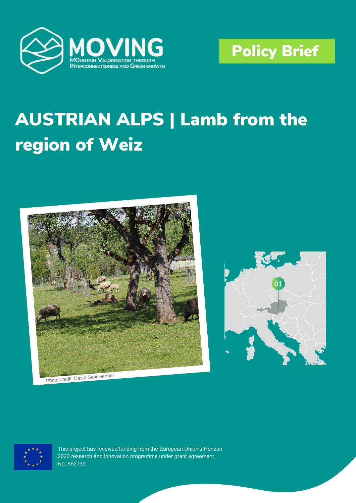



# **AUSTRIAN ALPS | Lamb from the** region of Weiz



Photo credit: David Steinwender





This project has received funding from the European Union's Horizon 2020 research and innovation programme under grant agreement No. 862739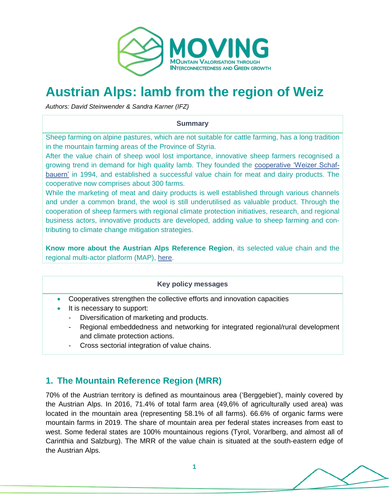

## **Austrian Alps: lamb from the region of Weiz**

*Authors: David Steinwender & Sandra Karner (IFZ)* 

#### **Summary**

Sheep farming on alpine pastures, which are not suitable for cattle farming, has a long tradition in the mountain farming areas of the Province of Styria.

After the value chain of sheep wool lost importance, innovative sheep farmers recognised a growing trend in demand for high quality lamb. They founded the [cooperative 'Weizer Schaf](https://shop.mähh.at/)[bauern'](https://shop.mähh.at/) in 1994, and established a successful value chain for meat and dairy products. The cooperative now comprises about 300 farms.

While the marketing of meat and dairy products is well established through various channels and under a common brand, the wool is still underutilised as valuable product. Through the cooperation of sheep farmers with regional climate protection initiatives, research, and regional business actors, innovative products are developed, adding value to sheep farming and contributing to climate change mitigation strategies.

**Know more about the Austrian Alps Reference Region**, its selected value chain and the regional multi-actor platform (MAP), [here.](https://www.moving-h2020.eu/reference_regions/austrian-alps-austria/)

### **Key policy messages**

- Cooperatives strengthen the collective efforts and innovation capacities
- It is necessary to support:
	- Diversification of marketing and products.
	- Regional embeddedness and networking for integrated regional/rural development and climate protection actions.
	- Cross sectorial integration of value chains.

## **1. The Mountain Reference Region (MRR)**

70% of the Austrian territory is defined as mountainous area ('Berggebiet'), mainly covered by the Austrian Alps. In 2016, 71.4% of total farm area (49,6% of agriculturally used area) was located in the mountain area (representing 58.1% of all farms). 66.6% of organic farms were mountain farms in 2019. The share of mountain area per federal states increases from east to west. Some federal states are 100% mountainous regions (Tyrol, Vorarlberg, and almost all of Carinthia and Salzburg). The MRR of the value chain is situated at the south-eastern edge of the Austrian Alps.

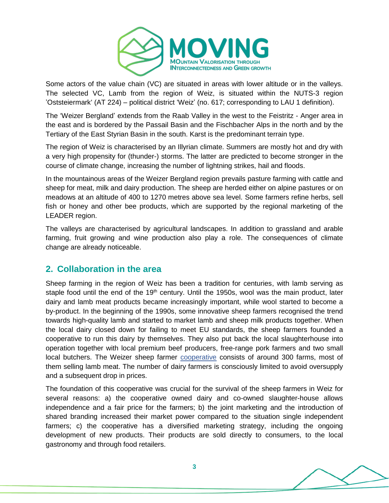

Some actors of the value chain (VC) are situated in areas with lower altitude or in the valleys. The selected VC, Lamb from the region of Weiz, is situated within the NUTS-3 region 'Oststeiermark' (AT 224) – political district 'Weiz' (no. 617; corresponding to LAU 1 definition).

The 'Weizer Bergland' extends from the Raab Valley in the west to the Feistritz - Anger area in the east and is bordered by the Passail Basin and the Fischbacher Alps in the north and by the Tertiary of the East Styrian Basin in the south. Karst is the predominant terrain type.

The region of Weiz is characterised by an Illyrian climate. Summers are mostly hot and dry with a very high propensity for (thunder-) storms. The latter are predicted to become stronger in the course of climate change, increasing the number of lightning strikes, hail and floods.

In the mountainous areas of the Weizer Bergland region prevails pasture farming with cattle and sheep for meat, milk and dairy production. The sheep are herded either on alpine pastures or on meadows at an altitude of 400 to 1270 metres above sea level. Some farmers refine herbs, sell fish or honey and other bee products, which are supported by the regional marketing of the LEADER region.

The valleys are characterised by agricultural landscapes. In addition to grassland and arable farming, fruit growing and wine production also play a role. The consequences of climate change are already noticeable.

## **2. Collaboration in the area**

Sheep farming in the region of Weiz has been a tradition for centuries, with lamb serving as staple food until the end of the 19<sup>th</sup> century. Until the 1950s, wool was the main product, later dairy and lamb meat products became increasingly important, while wool started to become a by-product. In the beginning of the 1990s, some innovative sheep farmers recognised the trend towards high-quality lamb and started to market lamb and sheep milk products together. When the local dairy closed down for failing to meet EU standards, the sheep farmers founded a cooperative to run this dairy by themselves. They also put back the local slaughterhouse into operation together with local premium beef producers, free-range pork farmers and two small local butchers. The Weizer sheep farmer [cooperative](https://shop.mähh.at/) consists of around 300 farms, most of them selling lamb meat. The number of dairy farmers is consciously limited to avoid oversupply and a subsequent drop in prices.

The foundation of this cooperative was crucial for the survival of the sheep farmers in Weiz for several reasons: a) the cooperative owned dairy and co-owned slaughter-house allows independence and a fair price for the farmers; b) the joint marketing and the introduction of shared branding increased their market power compared to the situation single independent farmers; c) the cooperative has a diversified marketing strategy, including the ongoing development of new products. Their products are sold directly to consumers, to the local gastronomy and through food retailers.

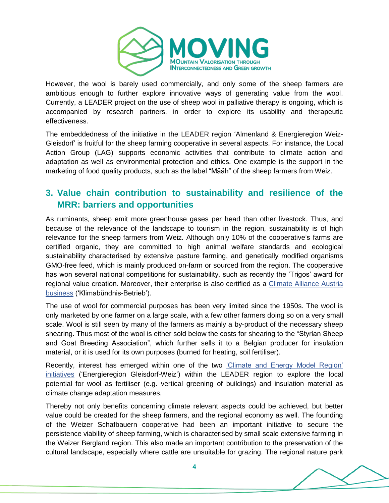

However, the wool is barely used commercially, and only some of the sheep farmers are ambitious enough to further explore innovative ways of generating value from the wool. Currently, a LEADER project on the use of sheep wool in palliative therapy is ongoing, which is accompanied by research partners, in order to explore its usability and therapeutic effectiveness.

The embeddedness of the initiative in the LEADER region 'Almenland & Energieregion Weiz-Gleisdorf' is fruitful for the sheep farming cooperative in several aspects. For instance, the Local Action Group (LAG) supports economic activities that contribute to climate action and adaptation as well as environmental protection and ethics. One example is the support in the marketing of food quality products, such as the label "Määh" of the sheep farmers from Weiz.

## **3. Value chain contribution to sustainability and resilience of the MRR: barriers and opportunities**

As ruminants, sheep emit more greenhouse gases per head than other livestock. Thus, and because of the relevance of the landscape to tourism in the region, sustainability is of high relevance for the sheep farmers from Weiz. Although only 10% of the cooperative's farms are certified organic, they are committed to high animal welfare standards and ecological sustainability characterised by extensive pasture farming, and genetically modified organisms GMO-free feed, which is mainly produced on-farm or sourced from the region. The cooperative has won several national competitions for sustainability, such as recently the 'Trigos' award for regional value creation. Moreover, their enterprise is also certified as a [Climate Alliance Austria](https://www.klimabuendnis.at/betriebe)  [business](https://www.klimabuendnis.at/betriebe) ('Klimabündnis-Betrieb').

The use of wool for commercial purposes has been very limited since the 1950s. The wool is only marketed by one farmer on a large scale, with a few other farmers doing so on a very small scale. Wool is still seen by many of the farmers as mainly a by-product of the necessary sheep shearing. Thus most of the wool is either sold below the costs for shearing to the "Styrian Sheep and Goat Breeding Association", which further sells it to a Belgian producer for insulation material, or it is used for its own purposes (burned for heating, soil fertiliser).

Recently, interest has emerged within one of the two ['Climate and Energy Model Region'](https://energieregion.at/) [initiatives](https://energieregion.at/) ('Energieregion Gleisdorf-Weiz') within the LEADER region to explore the local potential for wool as fertiliser (e.g. vertical greening of buildings) and insulation material as climate change adaptation measures.

Thereby not only benefits concerning climate relevant aspects could be achieved, but better value could be created for the sheep farmers, and the regional economy as well. The founding of the Weizer Schafbauern cooperative had been an important initiative to secure the persistence viability of sheep farming, which is characterised by small scale extensive farming in the Weizer Bergland region. This also made an important contribution to the preservation of the cultural landscape, especially where cattle are unsuitable for grazing. The regional nature park